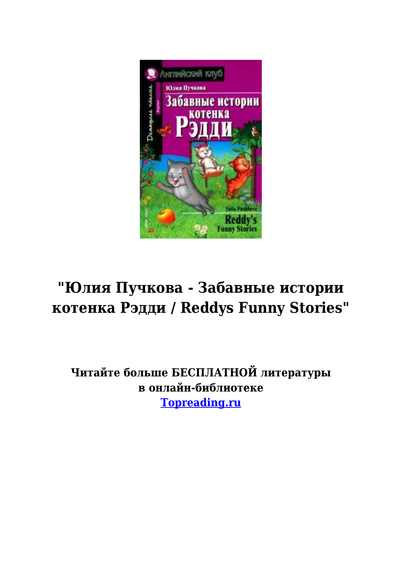

# **"Юлия Пучкова - Забавные истории котенка Рэдди / Reddys Funny Stories"**

**Читайте больше БЕСПЛАТНОЙ литературы в онлайн-библиотеке [Topreading.ru](https://topreading.ru/)**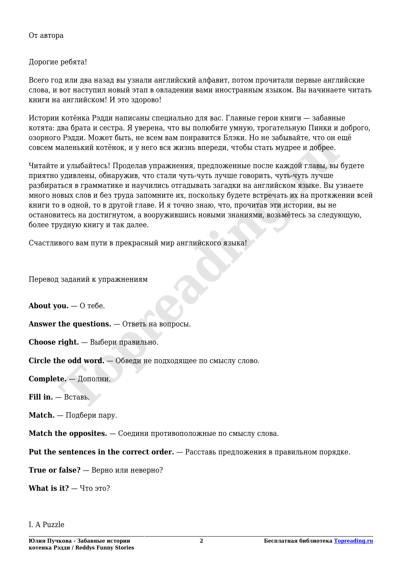От автора

#### Дорогие ребята!

Всего год или два назад вы узнали английский алфавит, потом прочитали первые английские слова, и вот наступил новый этап в овладении вами иностранным языком. Вы начинаете читать книги на английском! И это здорово!

Истории котёнка Рэдди написаны специально для вас. Главные герои книги — забавные котята: два брата и сестра. Я уверена, что вы полюбите умную, трогательную Пинки и доброго, озорного Рэдди. Может быть, не всем вам понравится Блэки. Но не забывайте, что он ещё совсем маленький котёнок, и у него вся жизнь впереди, чтобы стать мудрее и добрее.

Читайте и улыбайтесь! Проделав упражнения, предложенные после каждой главы, вы будете приятно удивлены, обнаружив, что стали чуть-чуть лучше говорить, чуть-чуть лучше разбираться в грамматике и научились отгадывать загадки на английском языке. Вы узнаете много новых слов и без труда запомните их, поскольку будете встречать их на протяжении всей книги то в одной, то в другой главе. И я точно знаю, что, прочитав эти истории, вы не остановитесь на достигнутом, а вооружившись новыми знаниями, возьмётесь за следующую, более трудную книгу и так далее. **Toply, номеновко, и ресем вам поправить пользом. го не заольного и добрее.**<br>**ИЗИЛЬ КОТЕНОВ, не всем вам поправить в поправитель или не заольно со немного и добрее.**<br>**The MATE SCRIP (DESPARAGEMENT SCRIPT)** и по стали чуть

Счастливого вам пути в прекрасный мир английского языка!

Перевод заданий к упражнениям

**About you.** — О тебе.

**Answer the questions.** — Ответь на вопросы.

**Choose right.** — Выбери правильно.

**Circle the odd word.** — Обведи не подходящее по смыслу слово.

**Complete.** — Дополни.

**Fill in.** — Вставь.

**Match.** — Подбери пару.

**Match the opposites.** — Соедини противоположные по смыслу слова.

**Put the sentences in the correct order.** — Расставь предложения в правильном порядке.

**True or false?** — Верно или неверно?

**What is it?** — Что это?

I. A Puzzle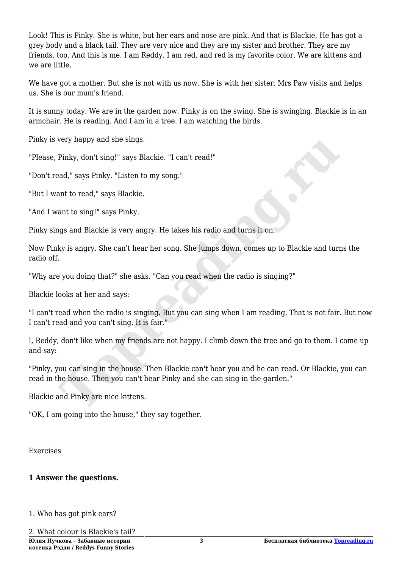Look! This is Pinky. She is white, but her ears and nose are pink. And that is Blackie. He has got a grey body and a black tail. They are very nice and they are my sister and brother. They are my friends, too. And this is me. I am Reddy. I am red, and red is my favorite color. We are kittens and we are little.

We have got a mother. But she is not with us now. She is with her sister. Mrs Paw visits and helps us. She is our mum's friend.

It is sunny today. We are in the garden now. Pinky is on the swing. She is swinging. Blackie is in an armchair. He is reading. And I am in a tree. I am watching the birds.

Pinky is very happy and she sings.

"Please, Pinky, don't sing!" says Blackie. "I can't read!"

"Don't read," says Pinky. "Listen to my song."

"But I want to read," says Blackie.

"And I want to sing!" says Pinky.

Pinky sings and Blackie is very angry. He takes his radio and turns it on.

Now Pinky is angry. She can't hear her song. She jumps down, comes up to Blackie and turns the radio off.

"Why are you doing that?" she asks. "Can you read when the radio is singing?"

Blackie looks at her and says:

"I can't read when the radio is singing. But you can sing when I am reading. That is not fair. But now I can't read and you can't sing. It is fair."

I, Reddy, don't like when my friends are not happy. I climb down the tree and go to them. I come up and say: **Thuky**, don't sing!" says Blackie. "I can't read!"<br>
Pinky, don't sing!" says Blackie. "I can't read!"<br>
and," says Pinky. "Listen to my song."<br>
ant to sing!" says Pinky.<br>
ant to sing!" says Pinky.<br>
Into sing!" says Pinky.<br>

"Pinky, you can sing in the house. Then Blackie can't hear you and he can read. Or Blackie, you can read in the house. Then you can't hear Pinky and she can sing in the garden."

Blackie and Pinky are nice kittens.

"OK, I am going into the house," they say together.

Exercises

#### **1 Answer the questions.**

1. Who has got pink ears?

2. What colour is Blackie's tail?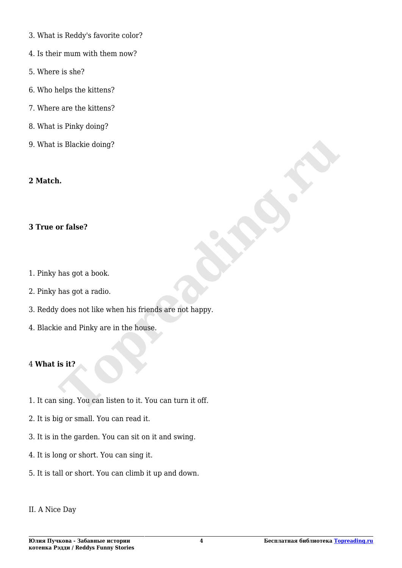- 3. What is Reddy's favorite color?
- 4. Is their mum with them now?
- 5. Where is she?
- 6. Who helps the kittens?
- 7. Where are the kittens?
- 8. What is Pinky doing?
- 9. What is Blackie doing?

#### **2 Match.**

#### **3 True or false?**

- 1. Pinky has got a book.
- 2. Pinky has got a radio.
- 3. Reddy does not like when his friends are not happy. **Top Transactions (Transaction School)**<br>
has got a book.<br>
has got a radio.<br>
does not like when his friends are not happy.<br>
ie and Pinky are in the house.<br> **Is it?**<br>
sing. You can listen to it. You can turn it off.
- 4. Blackie and Pinky are in the house.

#### 4 **What is it?**

- 1. It can sing. You can listen to it. You can turn it off.
- 2. It is big or small. You can read it.
- 3. It is in the garden. You can sit on it and swing.
- 4. It is long or short. You can sing it.
- 5. It is tall or short. You can climb it up and down.

#### II. A Nice Day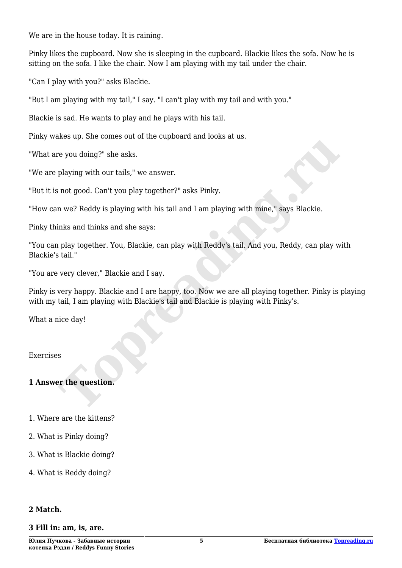We are in the house today. It is raining.

Pinky likes the cupboard. Now she is sleeping in the cupboard. Blackie likes the sofa. Now he is sitting on the sofa. I like the chair. Now I am playing with my tail under the chair.

"Can I play with you?" asks Blackie.

"But I am playing with my tail," I say. "I can't play with my tail and with you."

Blackie is sad. He wants to play and he plays with his tail.

Pinky wakes up. She comes out of the cupboard and looks at us.

"What are you doing?" she asks.

"We are playing with our tails," we answer.

"But it is not good. Can't you play together?" asks Pinky.

"How can we? Reddy is playing with his tail and I am playing with mine," says Blackie.

Pinky thinks and thinks and she says:

"You can play together. You, Blackie, can play with Reddy's tail. And you, Reddy, can play with Blackie's tail." **The state of the state of the constrainer of the constrainer of the state of the state.**<br>
The you doing?" she asks.<br>
playing with our tails," we answer.<br>
In we? Reddy is playing with his tail and I am playing with mine,"

"You are very clever," Blackie and I say.

Pinky is very happy. Blackie and I are happy, too. Now we are all playing together. Pinky is playing with my tail, I am playing with Blackie's tail and Blackie is playing with Pinky's.

What a nice day!

Exercises

#### **1 Answer the question.**

- 1. Where are the kittens?
- 2. What is Pinky doing?
- 3. What is Blackie doing?
- 4. What is Reddy doing?

#### **2 Match.**

#### **3 Fill in: am, is, are.**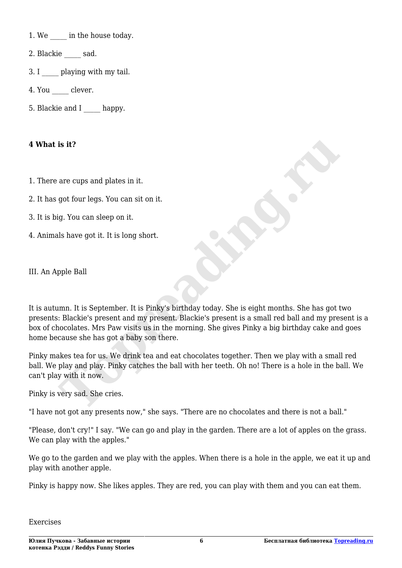1. We **in the house today**.

- 2. Blackie sad.
- 3. I **playing with my tail.**
- 4. You clever.
- 5. Blackie and I happy.

#### **4 What is it?**

- 1. There are cups and plates in it.
- 2. It has got four legs. You can sit on it.
- 3. It is big. You can sleep on it.
- 4. Animals have got it. It is long short.

III. An Apple Ball

It is autumn. It is September. It is Pinky's birthday today. She is eight months. She has got two presents: Blackie's present and my present. Blackie's present is a small red ball and my present is a box of chocolates. Mrs Paw visits us in the morning. She gives Pinky a big birthday cake and goes home because she has got a baby son there. **The Source of the Source of the Source of the Source of the Source of the Source of the Source of the Source of the Source of the Source of the Source of the Source of the Source of the Source of the Source of the Source** 

Pinky makes tea for us. We drink tea and eat chocolates together. Then we play with a small red ball. We play and play. Pinky catches the ball with her teeth. Oh no! There is a hole in the ball. We can't play with it now.

Pinky is very sad. She cries.

"I have not got any presents now," she says. "There are no chocolates and there is not a ball."

"Please, don't cry!" I say. "We can go and play in the garden. There are a lot of apples on the grass. We can play with the apples."

We go to the garden and we play with the apples. When there is a hole in the apple, we eat it up and play with another apple.

Pinky is happy now. She likes apples. They are red, you can play with them and you can eat them.

Exercises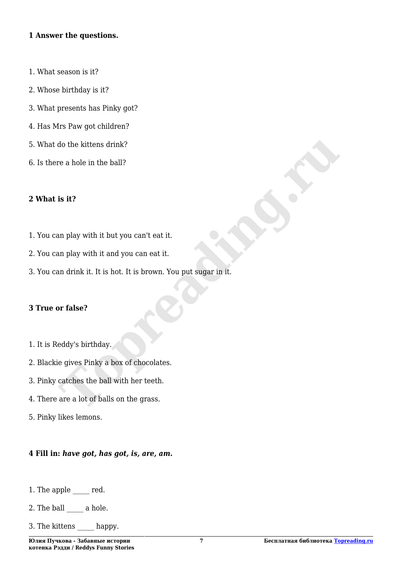#### **1 Answer the questions.**

- 1. What season is it?
- 2. Whose birthday is it?
- 3. What presents has Pinky got?
- 4. Has Mrs Paw got children?
- 5. What do the kittens drink?
- 6. Is there a hole in the ball?

#### **2 What is it?**

- 1. You can play with it but you can't eat it.
- 2. You can play with it and you can eat it.
- 3. You can drink it. It is hot. It is brown. You put sugar in it. **The set of the set of the ball?**<br> **Top a** hole in the ball?<br> **To a** hole in the ball?<br> **Top a** hole in the ball?<br> **Top a** hole with it and you can eat it.<br>
In drink it. It is hot. It is brown. You put sugar in it.<br> **Porta**

#### **3 True or false?**

- 1. It is Reddy's birthday.
- 2. Blackie gives Pinky a box of chocolates.
- 3. Pinky catches the ball with her teeth.
- 4. There are a lot of balls on the grass.
- 5. Pinky likes lemons.

#### **4 Fill in:** *have got, has got, is, are, am.*

- 1. The apple  $\qquad$  red.
- 2. The ball  $\_\_\_\_\$  a hole.
- 3. The kittens happy.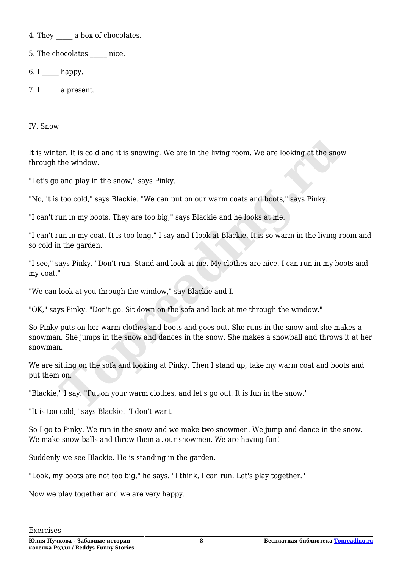4. They a box of chocolates.

5. The chocolates \_\_\_\_\_ nice.

 $6. I$  happy.

7. I a present.

IV. Snow

It is winter. It is cold and it is snowing. We are in the living room. We are looking at the snow through the window.

"Let's go and play in the snow," says Pinky.

"No, it is too cold," says Blackie. "We can put on our warm coats and boots," says Pinky.

"I can't run in my boots. They are too big," says Blackie and he looks at me.

"I can't run in my coat. It is too long," I say and I look at Blackie. It is so warm in the living room and so cold in the garden.

"I see," says Pinky. "Don't run. Stand and look at me. My clothes are nice. I can run in my boots and my coat."

"We can look at you through the window," say Blackie and I.

"OK," says Pinky. "Don't go. Sit down on the sofa and look at me through the window."

So Pinky puts on her warm clothes and boots and goes out. She runs in the snow and she makes a snowman. She jumps in the snow and dances in the snow. She makes a snowball and throws it at her snowman. then it is cold and it is snowing. We are in the living room. We are looking at the snot<br>the window.<br>and play in the snow," says Pinky.<br>too cold," says Blackie. "We can put on our warm coats and boots," says Pinky.<br>run in

We are sitting on the sofa and looking at Pinky. Then I stand up, take my warm coat and boots and put them on.

"Blackie," I say. "Put on your warm clothes, and let's go out. It is fun in the snow."

"It is too cold," says Blackie. "I don't want."

So I go to Pinky. We run in the snow and we make two snowmen. We jump and dance in the snow. We make snow-balls and throw them at our snowmen. We are having fun!

Suddenly we see Blackie. He is standing in the garden.

"Look, my boots are not too big," he says. "I think, I can run. Let's play together."

Now we play together and we are very happy.

Exercises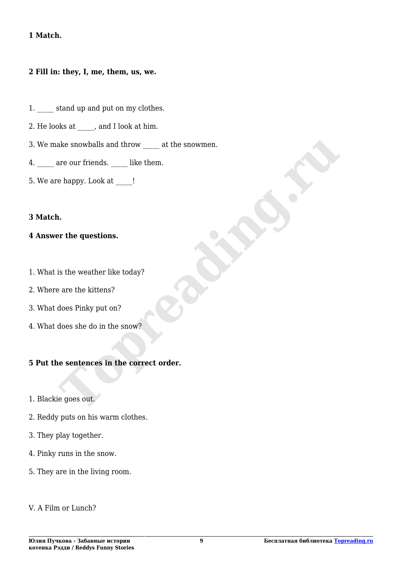#### **1 Match.**

#### **2 Fill in: they, I, me, them, us, we.**

- 1. stand up and put on my clothes.
- 2. He looks at  $\qquad \qquad$ , and I look at him.
- 3. We make snowballs and throw at the snowmen. ake snowballs and throw <u>\_\_\_</u> at the snowmen.<br>
are our friends. \_\_\_\_\_ like them.<br>
e happy. Look at \_\_\_\_!<br> **n.**<br> **n.**<br> **Toppy.** Look at \_\_\_\_!<br> **Toppy.** Look at \_\_\_\_!<br>
<br> **is the weather like today?**<br>
are the kittens?<br>
<br>
does
- 4. are our friends. like them.
- 5. We are happy. Look at \_\_\_\_\_!

#### **3 Match.**

#### **4 Answer the questions.**

- 1. What is the weather like today?
- 2. Where are the kittens?
- 3. What does Pinky put on?
- 4. What does she do in the snow?

#### **5 Put the sentences in the correct order.**

- 1. Blackie goes out.
- 2. Reddy puts on his warm clothes.
- 3. They play together.
- 4. Pinky runs in the snow.
- 5. They are in the living room.
- V. A Film or Lunch?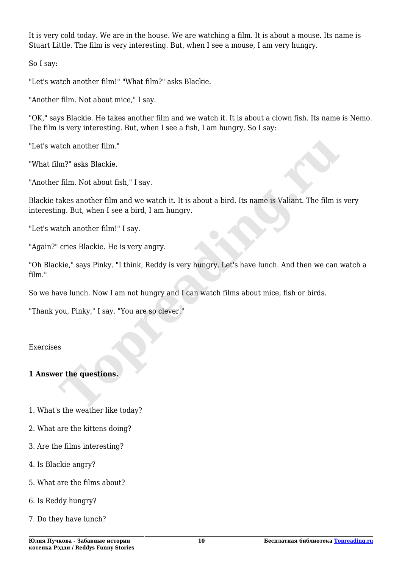It is very cold today. We are in the house. We are watching a film. It is about a mouse. Its name is Stuart Little. The film is very interesting. But, when I see a mouse, I am very hungry.

So I say:

"Let's watch another film!" "What film?" asks Blackie.

"Another film. Not about mice," I say.

"OK," says Blackie. He takes another film and we watch it. It is about a clown fish. Its name is Nemo. The film is very interesting. But, when I see a fish, I am hungry. So I say:

"Let's watch another film."

"What film?" asks Blackie.

"Another film. Not about fish," I say.

Blackie takes another film and we watch it. It is about a bird. Its name is Valiant. The film is very interesting. But, when I see a bird, I am hungry. atch another film."<br>
Im?" asks Blackie.<br>
The mark of say.<br>
The mark of say.<br>
The mark of say.<br>
The mark of say.<br>
The film is space is Valiant. The film is<br>
and B. But, when I see a bird, I am hungry.<br>
The such another film

"Let's watch another film!" I say.

"Again?" cries Blackie. He is very angry.

"Oh Blackie," says Pinky. "I think, Reddy is very hungry. Let's have lunch. And then we can watch a film."

So we have lunch. Now I am not hungry and I can watch films about mice, fish or birds.

"Thank you, Pinky," I say. "You are so clever."

Exercises

#### **1 Answer the questions.**

- 1. What's the weather like today?
- 2. What are the kittens doing?
- 3. Are the films interesting?
- 4. Is Blackie angry?
- 5. What are the films about?
- 6. Is Reddy hungry?
- 7. Do they have lunch?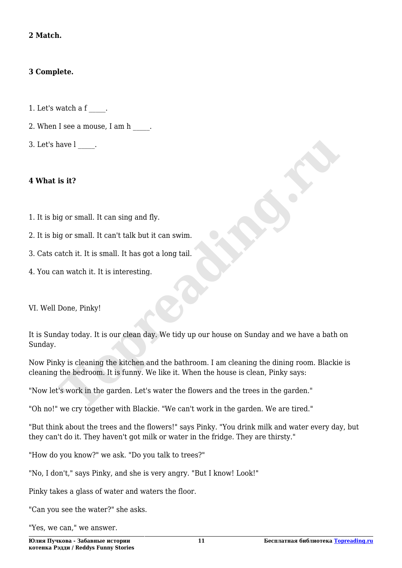#### **2 Match.**

#### **3 Complete.**

- 1. Let's watch a f \_\_\_\_.
- 2. When I see a mouse, I am h  $\qquad$ .
- 3. Let's have l \_\_\_\_.

#### **4 What is it?**

- 1. It is big or small. It can sing and fly.
- 2. It is big or small. It can't talk but it can swim.
- 3. Cats catch it. It is small. It has got a long tail.
- 4. You can watch it. It is interesting.

VI. Well Done, Pinky!

It is Sunday today. It is our clean day. We tidy up our house on Sunday and we have a bath on Sunday. **The Markon School School School School School School School School School School School School School School School School School School School School School School School School School School School School School School** 

Now Pinky is cleaning the kitchen and the bathroom. I am cleaning the dining room. Blackie is cleaning the bedroom. It is funny. We like it. When the house is clean, Pinky says:

"Now let's work in the garden. Let's water the flowers and the trees in the garden."

"Oh no!" we cry together with Blackie. "We can't work in the garden. We are tired."

"But think about the trees and the flowers!" says Pinky. "You drink milk and water every day, but they can't do it. They haven't got milk or water in the fridge. They are thirsty."

"How do you know?" we ask. "Do you talk to trees?"

"No, I don't," says Pinky, and she is very angry. "But I know! Look!"

Pinky takes a glass of water and waters the floor.

"Can you see the water?" she asks.

"Yes, we can," we answer.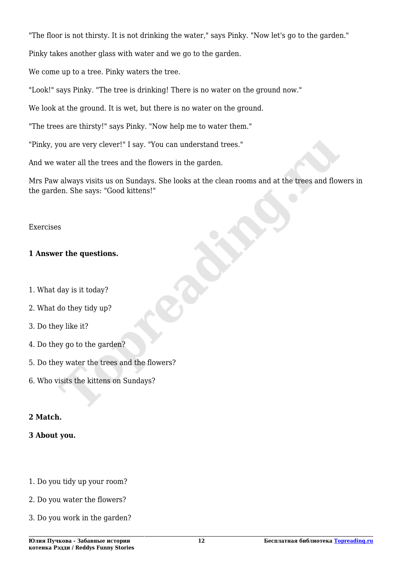"The floor is not thirsty. It is not drinking the water," says Pinky. "Now let's go to the garden."

Pinky takes another glass with water and we go to the garden.

We come up to a tree. Pinky waters the tree.

"Look!" says Pinky. "The tree is drinking! There is no water on the ground now."

We look at the ground. It is wet, but there is no water on the ground.

"The trees are thirsty!" says Pinky. "Now help me to water them."

"Pinky, you are very clever!" I say. "You can understand trees."

And we water all the trees and the flowers in the garden.

Mrs Paw always visits us on Sundays. She looks at the clean rooms and at the trees and flowers in the garden. She says: "Good kittens!" For the trees and the flowers in the garden.<br>
Water all the trees and the flowers in the garden.<br>
The says: "Good kittens!"<br>
For the gas and flowers and a the trees and flow<br>
For the questions.<br>
S<br>
S<br>
S<br>
Topped the says: "

#### Exercises

#### **1 Answer the questions.**

- 1. What day is it today?
- 2. What do they tidy up?
- 3. Do they like it?
- 4. Do they go to the garden?
- 5. Do they water the trees and the flowers?
- 6. Who visits the kittens on Sundays?

#### **2 Match.**

#### **3 About you.**

- 1. Do you tidy up your room?
- 2. Do you water the flowers?
- 3. Do you work in the garden?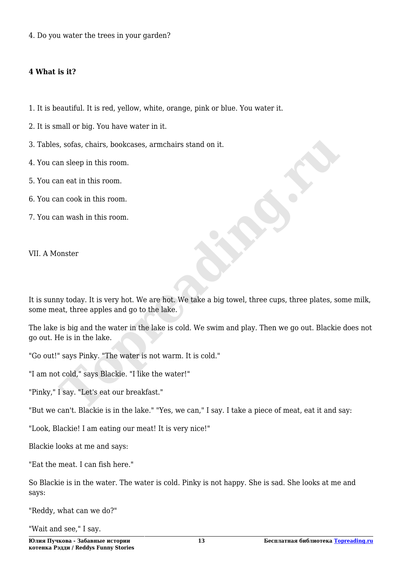4. Do you water the trees in your garden?

#### **4 What is it?**

- 1. It is beautiful. It is red, yellow, white, orange, pink or blue. You water it.
- 2. It is small or big. You have water in it.
- 3. Tables, sofas, chairs, bookcases, armchairs stand on it.
- 4. You can sleep in this room.
- 5. You can eat in this room.
- 6. You can cook in this room.
- 7. You can wash in this room.

VII. A Monster

It is sunny today. It is very hot. We are hot. We take a big towel, three cups, three plates, some milk, some meat, three apples and go to the lake. **Follow Solution**<br>
Solutions, chairs, bookcases, armchairs stand on it.<br>
In sleep in this room.<br>
In each in this room.<br>
In wash in this room.<br>
In wash in this room.<br>
<br>
In wash in this room.<br>
<br>
<br>
<br>
<br> **Toppeading the complex** 

The lake is big and the water in the lake is cold. We swim and play. Then we go out. Blackie does not go out. He is in the lake.

"Go out!" says Pinky. "The water is not warm. It is cold."

"I am not cold," says Blackie. "I like the water!"

"Pinky," I say. "Let's eat our breakfast."

"But we can't. Blackie is in the lake." "Yes, we can," I say. I take a piece of meat, eat it and say:

"Look, Blackie! I am eating our meat! It is very nice!"

Blackie looks at me and says:

"Eat the meat. I can fish here."

So Blackie is in the water. The water is cold. Pinky is not happy. She is sad. She looks at me and says:

"Reddy, what can we do?"

"Wait and see," I say.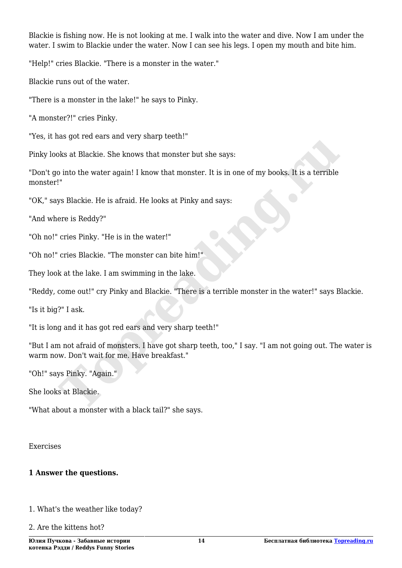Blackie is fishing now. He is not looking at me. I walk into the water and dive. Now I am under the water. I swim to Blackie under the water. Now I can see his legs. I open my mouth and bite him.

"Help!" cries Blackie. "There is a monster in the water."

Blackie runs out of the water.

"There is a monster in the lake!" he says to Pinky.

"A monster?!" cries Pinky.

"Yes, it has got red ears and very sharp teeth!"

Pinky looks at Blackie. She knows that monster but she says:

"Don't go into the water again! I know that monster. It is in one of my books. It is a terrible monster!" bes at Blackie. She knows that monster but she says:<br>
into the water again! I know that monster but she says:<br>
i"<br>
I"<br>
Signalize. He is a firald. He looks at Pinky and says:<br>
For is Reddy?"<br>
cries Blackie. "The is in the w

"OK," says Blackie. He is afraid. He looks at Pinky and says:

"And where is Reddy?"

"Oh no!" cries Pinky. "He is in the water!"

"Oh no!" cries Blackie. "The monster can bite him!"

They look at the lake. I am swimming in the lake.

"Reddy, come out!" cry Pinky and Blackie. "There is a terrible monster in the water!" says Blackie.

"Is it big?" I ask.

"It is long and it has got red ears and very sharp teeth!"

"But I am not afraid of monsters. I have got sharp teeth, too," I say. "I am not going out. The water is warm now. Don't wait for me. Have breakfast."

"Oh!" says Pinky. "Again."

She looks at Blackie.

"What about a monster with a black tail?" she says.

Exercises

#### **1 Answer the questions.**

1. What's the weather like today?

2. Are the kittens hot?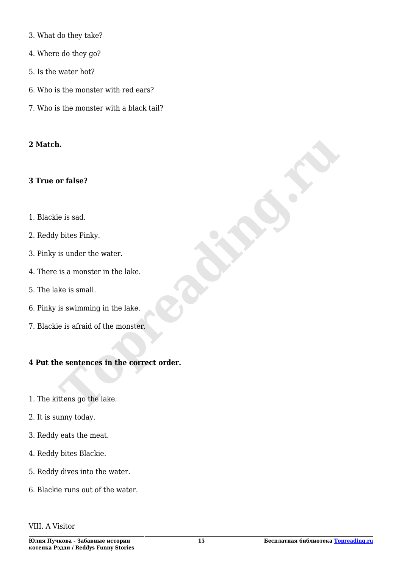- 3. What do they take?
- 4. Where do they go?
- 5. Is the water hot?
- 6. Who is the monster with red ears?
- 7. Who is the monster with a black tail?

#### **2 Match.**

#### **3 True or false?**

- 1. Blackie is sad.
- 2. Reddy bites Pinky.
- 3. Pinky is under the water.
- 4. There is a monster in the lake.
- 5. The lake is small.
- 6. Pinky is swimming in the lake.
- 7. Blackie is afraid of the monster.

# **4 Put the sentences in the correct order. n.**<br> **I** a. For false?<br> **I** e is sad.<br> **I** is under the water.<br> **IS a monster in the lake.**<br> **IS as a monster in the lake.**<br> **IS as a first of the monster.**<br> **IS as first of the monster.**<br> **IS as first of the monster.**<br>

- 1. The kittens go the lake.
- 2. It is sunny today.
- 3. Reddy eats the meat.
- 4. Reddy bites Blackie.
- 5. Reddy dives into the water.
- 6. Blackie runs out of the water.

#### VIII. A Visitor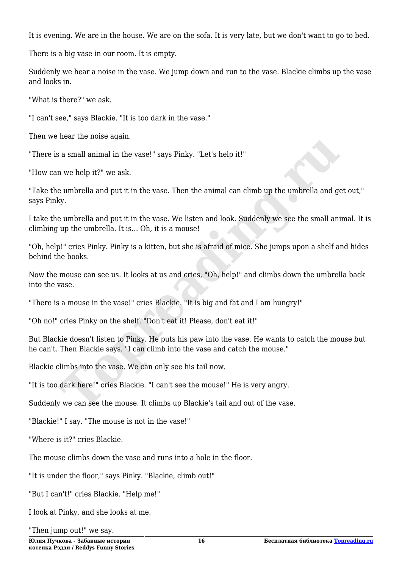It is evening. We are in the house. We are on the sofa. It is very late, but we don't want to go to bed.

There is a big vase in our room. It is empty.

Suddenly we hear a noise in the vase. We jump down and run to the vase. Blackie climbs up the vase and looks in.

"What is there?" we ask.

"I can't see," says Blackie. "It is too dark in the vase."

Then we hear the noise again.

"There is a small animal in the vase!" says Pinky. "Let's help it!"

"How can we help it?" we ask.

"Take the umbrella and put it in the vase. Then the animal can climb up the umbrella and get out," says Pinky.

I take the umbrella and put it in the vase. We listen and look. Suddenly we see the small animal. It is climbing up the umbrella. It is… Oh, it is a mouse!

"Oh, help!" cries Pinky. Pinky is a kitten, but she is afraid of mice. She jumps upon a shelf and hides behind the books.

Now the mouse can see us. It looks at us and cries, "Oh, help!" and climbs down the umbrella back into the vase. **Incurse Internal and I** and the vase!" says Pinky. "Let's help it!"<br> **The model in the vase.** Then the animal can climb up the umbrella and gdy.<br> **The umbrella and put it in the vase.** Then the animal can climb up the umb

"There is a mouse in the vase!" cries Blackie. "It is big and fat and I am hungry!"

"Oh no!" cries Pinky on the shelf. "Don't eat it! Please, don't eat it!"

But Blackie doesn't listen to Pinky. He puts his paw into the vase. He wants to catch the mouse but he can't. Then Blackie says. "I can climb into the vase and catch the mouse."

Blackie climbs into the vase. We can only see his tail now.

"It is too dark here!" cries Blackie. "I can't see the mouse!" He is very angry.

Suddenly we can see the mouse. It climbs up Blackie's tail and out of the vase.

"Blackie!" I say. "The mouse is not in the vase!"

"Where is it?" cries Blackie.

The mouse climbs down the vase and runs into a hole in the floor.

"It is under the floor," says Pinky. "Blackie, climb out!"

"But I can't!" cries Blackie. "Help me!"

I look at Pinky, and she looks at me.

"Then jump out!" we say.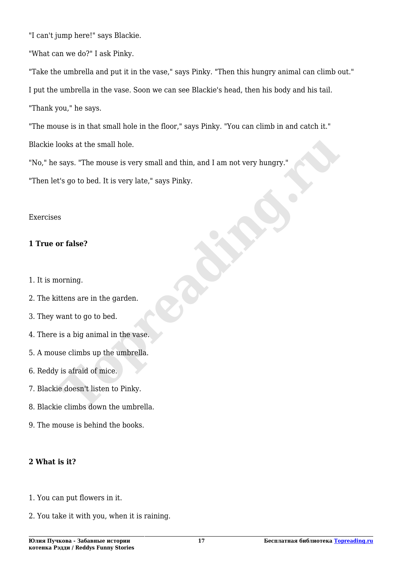"I can't jump here!" says Blackie.

"What can we do?" I ask Pinky.

"Take the umbrella and put it in the vase," says Pinky. "Then this hungry animal can climb out." I put the umbrella in the vase. Soon we can see Blackie's head, then his body and his tail. "Thank you," he says.

"The mouse is in that small hole in the floor," says Pinky. "You can climb in and catch it." Blackie looks at the small hole. **Topreading.ru**

"No," he says. "The mouse is very small and thin, and I am not very hungry."

"Then let's go to bed. It is very late," says Pinky.

#### Exercises

### **1 True or false?**

- 1. It is morning.
- 2. The kittens are in the garden.
- 3. They want to go to bed.
- 4. There is a big animal in the vase.
- 5. A mouse climbs up the umbrella.
- 6. Reddy is afraid of mice.
- 7. Blackie doesn't listen to Pinky.
- 8. Blackie climbs down the umbrella.
- 9. The mouse is behind the books.

# **2 What is it?**

- 1. You can put flowers in it.
- 2. You take it with you, when it is raining.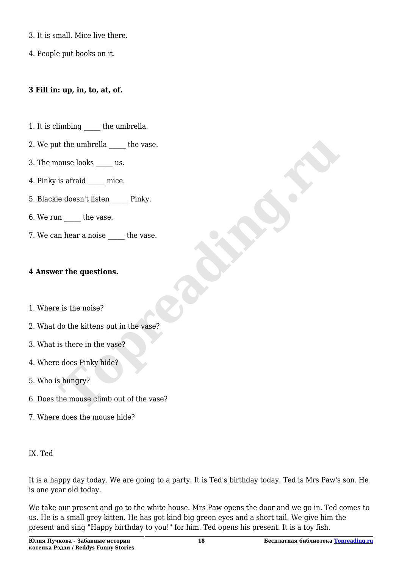- 3. It is small. Mice live there.
- 4. People put books on it.

#### **3 Fill in: up, in, to, at, of.**

- 1. It is climbing the umbrella.
- 2. We put the umbrella the vase.
- 3. The mouse looks us.
- 4. Pinky is a<br>fraid \_\_\_\_\_\_ mice.
- 5. Blackie doesn't listen Pinky.
- 6. We run the vase.
- 7. We can hear a noise the vase.

#### **4 Answer the questions.**

- 1. Where is the noise?
- 2. What do the kittens put in the vase?
- 3. What is there in the vase?
- 4. Where does Pinky hide?
- 5. Who is hungry?
- 6. Does the mouse climb out of the vase? **Topreading.ru**
- 7. Where does the mouse hide?

#### IX. Ted

It is a happy day today. We are going to a party. It is Ted's birthday today. Ted is Mrs Paw's son. He is one year old today.

We take our present and go to the white house. Mrs Paw opens the door and we go in. Ted comes to us. He is a small grey kitten. He has got kind big green eyes and a short tail. We give him the present and sing "Happy birthday to you!" for him. Ted opens his present. It is a toy fish.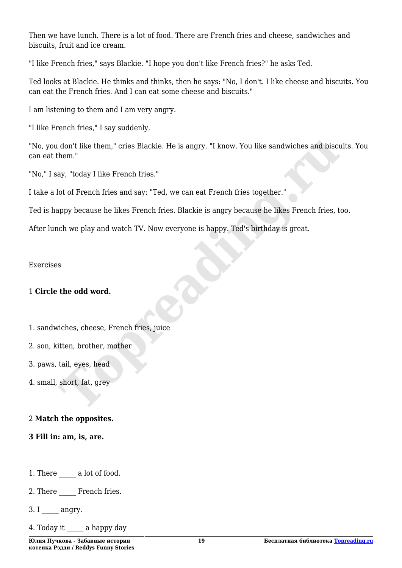Then we have lunch. There is a lot of food. There are French fries and cheese, sandwiches and biscuits, fruit and ice cream.

"I like French fries," says Blackie. "I hope you don't like French fries?" he asks Ted.

Ted looks at Blackie. He thinks and thinks, then he says: "No, I don't. I like cheese and biscuits. You can eat the French fries. And I can eat some cheese and biscuits."

I am listening to them and I am very angry.

"I like French fries," I say suddenly.

"No, you don't like them," cries Blackie. He is angry. "I know. You like sandwiches and biscuits. You can eat them." don't like them," cries Blackie. He is angry. "I know. You like sandwiches and biscubem."<br>Agy, "today I like French fries."<br>We are set of French fries and say: "Ted, we can eat French fries together."<br>Appy because he likes

"No," I say, "today I like French fries."

I take a lot of French fries and say: "Ted, we can eat French fries together."

Ted is happy because he likes French fries. Blackie is angry because he likes French fries, too.

After lunch we play and watch TV. Now everyone is happy. Ted's birthday is great.

Exercises

#### 1 **Circle the odd word.**

- 1. sandwiches, cheese, French fries, juice
- 2. son, kitten, brother, mother
- 3. paws, tail, eyes, head
- 4. small, short, fat, grey

#### 2 **Match the opposites.**

**3 Fill in: am, is, are.**

1. There a lot of food.

2. There French fries.

 $3. I$  angry.

4. Today it a happy day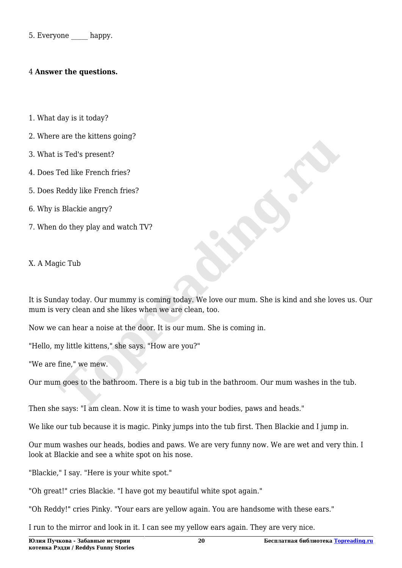5. Everyone happy.

#### 4 **Answer the questions.**

- 1. What day is it today?
- 2. Where are the kittens going?
- 3. What is Ted's present?
- 4. Does Ted like French fries?
- 5. Does Reddy like French fries?
- 6. Why is Blackie angry?
- 7. When do they play and watch TV?

X. A Magic Tub

It is Sunday today. Our mummy is coming today. We love our mum. She is kind and she loves us. Our mum is very clean and she likes when we are clean, too. Is Ted's present?<br>
Ted like French fries?<br> **Reddy like French fries?**<br> **S** Blackie angry?<br>
do they play and watch TV?<br>
<br>
gic Tub<br>
day today. Our mummy is coming today. We love our mum. She is kind and she love<br>
overy clean

Now we can hear a noise at the door. It is our mum. She is coming in.

"Hello, my little kittens," she says. "How are you?"

"We are fine," we mew.

Our mum goes to the bathroom. There is a big tub in the bathroom. Our mum washes in the tub.

Then she says: "I am clean. Now it is time to wash your bodies, paws and heads."

We like our tub because it is magic. Pinky jumps into the tub first. Then Blackie and I jump in.

Our mum washes our heads, bodies and paws. We are very funny now. We are wet and very thin. I look at Blackie and see a white spot on his nose.

"Blackie," I say. "Here is your white spot."

"Oh great!" cries Blackie. "I have got my beautiful white spot again."

"Oh Reddy!" cries Pinky. "Your ears are yellow again. You are handsome with these ears."

I run to the mirror and look in it. I can see my yellow ears again. They are very nice.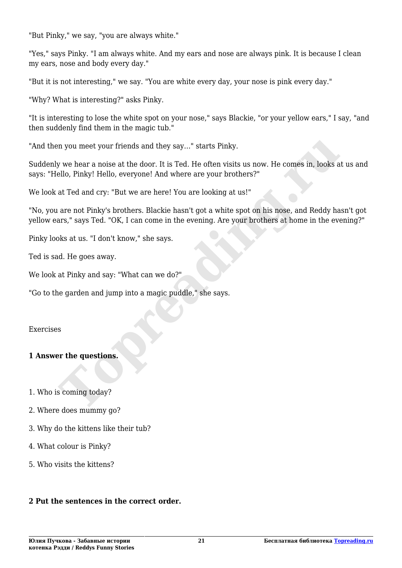"But Pinky," we say, "you are always white."

"Yes," says Pinky. "I am always white. And my ears and nose are always pink. It is because I clean my ears, nose and body every day."

"But it is not interesting," we say. "You are white every day, your nose is pink every day."

"Why? What is interesting?" asks Pinky.

"It is interesting to lose the white spot on your nose," says Blackie, "or your yellow ears," I say, "and then suddenly find them in the magic tub."

"And then you meet your friends and they say…" starts Pinky.

Suddenly we hear a noise at the door. It is Ted. He often visits us now. He comes in, looks at us and says: "Hello, Pinky! Hello, everyone! And where are your brothers?" m you meet your friends and they say..." starts Pinky.<br>We hear a noise at the door. It is Ted. He often visits us now. He comes in, looks a<br>ello, Pinky! Hello, everyone! And where are your brothers?"<br>at Ted and cry: "But w

We look at Ted and cry: "But we are here! You are looking at us!"

"No, you are not Pinky's brothers. Blackie hasn't got a white spot on his nose, and Reddy hasn't got yellow ears," says Ted. "OK, I can come in the evening. Are your brothers at home in the evening?"

Pinky looks at us. "I don't know," she says.

Ted is sad. He goes away.

We look at Pinky and say: "What can we do?"

"Go to the garden and jump into a magic puddle," she says.

#### Exercises

#### **1 Answer the questions.**

- 1. Who is coming today?
- 2. Where does mummy go?
- 3. Why do the kittens like their tub?
- 4. What colour is Pinky?
- 5. Who visits the kittens?

#### **2 Put the sentences in the correct order.**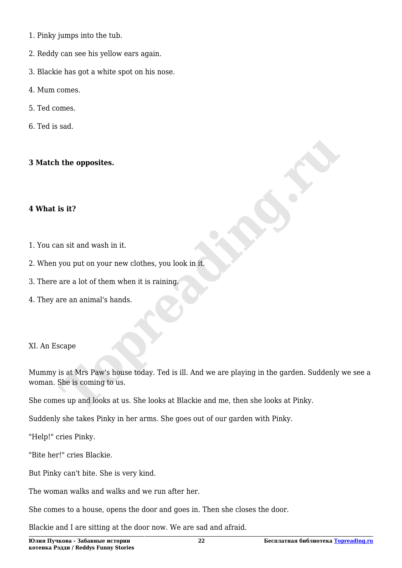- 1. Pinky jumps into the tub.
- 2. Reddy can see his yellow ears again.
- 3. Blackie has got a white spot on his nose.
- 4. Mum comes.
- 5. Ted comes.
- 6. Ted is sad.

#### **3 Match the opposites.**

#### **4 What is it?**

- 1. You can sit and wash in it.
- 2. When you put on your new clothes, you look in it.
- 3. There are a lot of them when it is raining.
- 4. They are an animal's hands.

#### XI. An Escape

Mummy is at Mrs Paw's house today. Ted is ill. And we are playing in the garden. Suddenly we see a woman. She is coming to us. **The opposites.**<br> **Topposite Algerity:**<br> **Topposite Algerity:**<br> **Topposite Algerity:**<br> **Topposite Algerity:**<br> **Topposite Algerity:**<br> **Topposite Algerity:**<br> **Topposite Algerity:**<br> **Topposite Algerity:**<br> **Topposite Algerity:** 

She comes up and looks at us. She looks at Blackie and me, then she looks at Pinky.

Suddenly she takes Pinky in her arms. She goes out of our garden with Pinky.

"Help!" cries Pinky.

"Bite her!" cries Blackie.

But Pinky can't bite. She is very kind.

The woman walks and walks and we run after her.

She comes to a house, opens the door and goes in. Then she closes the door.

Blackie and I are sitting at the door now. We are sad and afraid.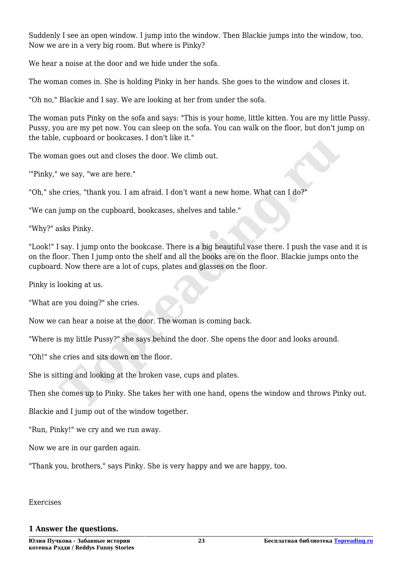Suddenly I see an open window. I jump into the window. Then Blackie jumps into the window, too. Now we are in a very big room. But where is Pinky?

We hear a noise at the door and we hide under the sofa.

The woman comes in. She is holding Pinky in her hands. She goes to the window and closes it.

"Oh no," Blackie and I say. We are looking at her from under the sofa.

The woman puts Pinky on the sofa and says: "This is your home, little kitten. You are my little Pussy. Pussy, you are my pet now. You can sleep on the sofa. You can walk on the floor, but don't jump on the table, cupboard or bookcases. I don't like it."

The woman goes out and closes the door. We climb out.

'"Pinky," we say, "we are here."

"Oh," she cries, "thank you. I am afraid. I don't want a new home. What can I do?"

"We can jump on the cupboard, bookcases, shelves and table."

"Why?" asks Pinky.

"Look!" I say. I jump onto the bookcase. There is a big beautiful vase there. I push the vase and it is on the floor. Then I jump onto the shelf and all the books are on the floor. Blackie jumps onto the cupboard. Now there are a lot of cups, plates and glasses on the floor. **The set of the set of the set of the set of the set of the set of the set of the set of the set of the set of the set of the set of the set of the set of the set of the set of the set of the set of the set of the set of t** 

Pinky is looking at us.

"What are you doing?" she cries.

Now we can hear a noise at the door. The woman is coming back.

"Where is my little Pussy?" she says behind the door. She opens the door and looks around.

"Oh!" she cries and sits down on the floor.

She is sitting and looking at the broken vase, cups and plates.

Then she comes up to Pinky. She takes her with one hand, opens the window and throws Pinky out.

Blackie and I jump out of the window together.

"Run, Pinky!" we cry and we run away.

Now we are in our garden again.

"Thank you, brothers," says Pinky. She is very happy and we are happy, too.

#### Exercises

#### **1 Answer the questions.**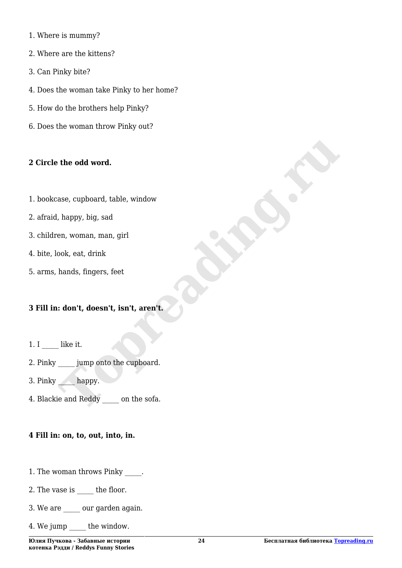- 1. Where is mummy?
- 2. Where are the kittens?
- 3. Can Pinky bite?
- 4. Does the woman take Pinky to her home?
- 5. How do the brothers help Pinky?
- 6. Does the woman throw Pinky out?

#### **2 Circle the odd word.**

- 1. bookcase, cupboard, table, window
- 2. afraid, happy, big, sad
- 3. children, woman, man, girl
- 4. bite, look, eat, drink
- 5. arms, hands, fingers, feet

# **3 Fill in: don't, doesn't, isn't, aren't. The odd word.**<br>
ase, cupboard, table, window<br>
happy, big, sad<br>
en, woman, man, girl<br>
ook, eat, drink<br>
hands, fingers, feet<br> **Toppe School Contains and School Container School Container School Container School Container Sc**

- 1. I **like it.**
- 2. Pinky jump onto the cupboard.
- 3. Pinky happy.
- 4. Blackie and Reddy on the sofa.

#### **4 Fill in: on, to, out, into, in.**

- 1. The woman throws Pinky  $\qquad \qquad$ .
- 2. The vase is the floor.
- 3. We are \_\_\_\_\_ our garden again.
- 4. We jump the window.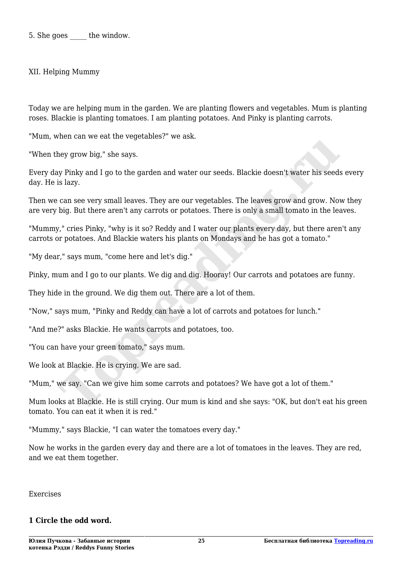5. She goes the window.

XII. Helping Mummy

Today we are helping mum in the garden. We are planting flowers and vegetables. Mum is planting roses. Blackie is planting tomatoes. I am planting potatoes. And Pinky is planting carrots.

"Mum, when can we eat the vegetables?" we ask.

"When they grow big," she says.

Every day Pinky and I go to the garden and water our seeds. Blackie doesn't water his seeds every day. He is lazy.

Then we can see very small leaves. They are our vegetables. The leaves grow and grow. Now they are very big. But there aren't any carrots or potatoes. There is only a small tomato in the leaves.

"Mummy," cries Pinky, "why is it so? Reddy and I water our plants every day, but there aren't any carrots or potatoes. And Blackie waters his plants on Mondays and he has got a tomato." Herican we car are regearancs. We diathed<br>they grow big," she says.<br>If prinky and I go to the garden and water our seeds. Blackie doesn't water his seed:<br>is lazy.<br>To present small leaves. They are our vegetables. The leave

"My dear," says mum, "come here and let's dig."

Pinky, mum and I go to our plants. We dig and dig. Hooray! Our carrots and potatoes are funny.

They hide in the ground. We dig them out. There are a lot of them.

"Now," says mum, "Pinky and Reddy can have a lot of carrots and potatoes for lunch."

"And me?" asks Blackie. He wants carrots and potatoes, too.

"You can have your green tomato," says mum.

We look at Blackie. He is crying. We are sad.

"Mum," we say. "Can we give him some carrots and potatoes? We have got a lot of them."

Mum looks at Blackie. He is still crying. Our mum is kind and she says: "OK, but don't eat his green tomato. You can eat it when it is red."

"Mummy," says Blackie, "I can water the tomatoes every day."

Now he works in the garden every day and there are a lot of tomatoes in the leaves. They are red, and we eat them together.

Exercises

#### **1 Circle the odd word.**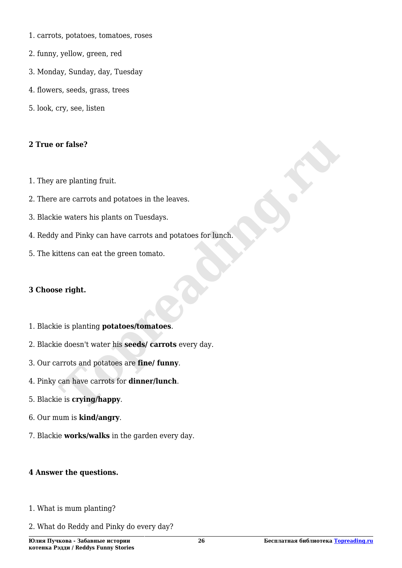- 1. carrots, potatoes, tomatoes, roses
- 2. funny, yellow, green, red
- 3. Monday, Sunday, day, Tuesday
- 4. flowers, seeds, grass, trees
- 5. look, cry, see, listen

#### **2 True or false?**

- 1. They are planting fruit.
- 2. There are carrots and potatoes in the leaves.
- 3. Blackie waters his plants on Tuesdays.
- 4. Reddy and Pinky can have carrots and potatoes for lunch. **The Second Second Second Second Second Second Second Second Section Section Section Section Section Section Section Section Section Section Section Section Section Section Section Section Section Section Section Section S**
- 5. The kittens can eat the green tomato.

#### **3 Choose right.**

- 1. Blackie is planting **potatoes/tomatoes**.
- 2. Blackie doesn't water his **seeds/ carrots** every day.
- 3. Our carrots and potatoes are **fine/ funny**.
- 4. Pinky can have carrots for **dinner/lunch**.
- 5. Blackie is **crying/happy**.
- 6. Our mum is **kind/angry**.
- 7. Blackie **works/walks** in the garden every day.

#### **4 Answer the questions.**

- 1. What is mum planting?
- 2. What do Reddy and Pinky do every day?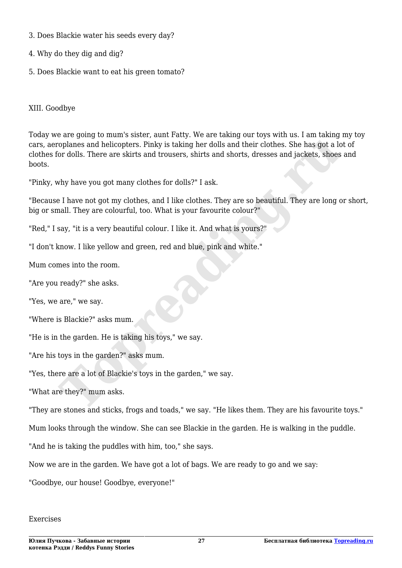- 3. Does Blackie water his seeds every day?
- 4. Why do they dig and dig?
- 5. Does Blackie want to eat his green tomato?

XIII. Goodbye

Today we are going to mum's sister, aunt Fatty. We are taking our toys with us. I am taking my toy cars, aeroplanes and helicopters. Pinky is taking her dolls and their clothes. She has got a lot of clothes for dolls. There are skirts and trousers, shirts and shorts, dresses and jackets, shoes and boots. coplanes and helicopters. Pinky is taking her dolls and their clothes. She has got a loop dolls. There are skirts and trousers, shirts and shorts, dresses and jackets, shoes<br>why have you got many clothes for dolls?" I ask.

"Pinky, why have you got many clothes for dolls?" I ask.

"Because I have not got my clothes, and I like clothes. They are so beautiful. They are long or short, big or small. They are colourful, too. What is your favourite colour?"

"Red," I say, "it is a very beautiful colour. I like it. And what is yours?"

"I don't know. I like yellow and green, red and blue, pink and white."

Mum comes into the room.

"Are you ready?" she asks.

"Yes, we are," we say.

"Where is Blackie?" asks mum.

"He is in the garden. He is taking his toys," we say.

"Are his toys in the garden?" asks mum.

"Yes, there are a lot of Blackie's toys in the garden," we say.

"What are they?" mum asks.

"They are stones and sticks, frogs and toads," we say. "He likes them. They are his favourite toys."

Mum looks through the window. She can see Blackie in the garden. He is walking in the puddle.

"And he is taking the puddles with him, too," she says.

Now we are in the garden. We have got a lot of bags. We are ready to go and we say:

"Goodbye, our house! Goodbye, everyone!"

#### Exercises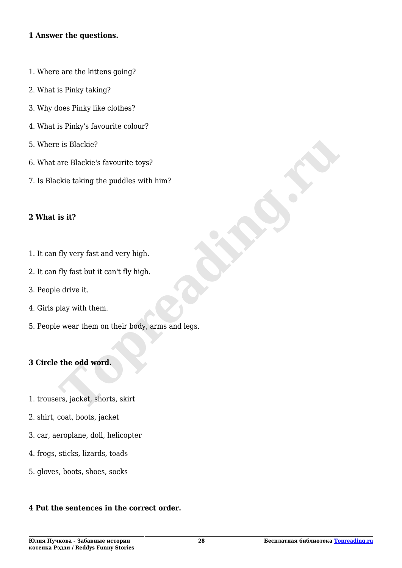#### **1 Answer the questions.**

- 1. Where are the kittens going?
- 2. What is Pinky taking?
- 3. Why does Pinky like clothes?
- 4. What is Pinky's favourite colour?
- 5. Where is Blackie?
- 6. What are Blackie's favourite toys?
- 7. Is Blackie taking the puddles with him?

#### **2 What is it?**

- 1. It can fly very fast and very high.
- 2. It can fly fast but it can't fly high.
- 3. People drive it.
- 4. Girls play with them.
- 5. People wear them on their body, arms and legs. **The Blackie's favourite toys?**<br>
are Blackie's favourite toys?<br> **The Blackie's favourite toys?**<br> **Is it?**<br> **If** y very fast and very high.<br> **If** y fast but it can't fly high.<br> **If** y fast but it can't fly high.<br> **E** drive

#### **3 Circle the odd word.**

- 1. trousers, jacket, shorts, skirt
- 2. shirt, coat, boots, jacket
- 3. car, aeroplane, doll, helicopter
- 4. frogs, sticks, lizards, toads
- 5. gloves, boots, shoes, socks

#### **4 Put the sentences in the correct order.**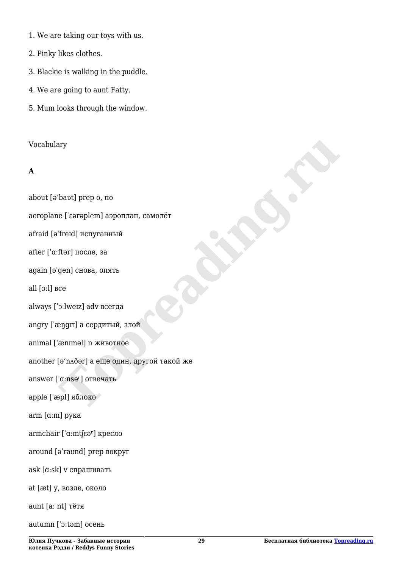- 1. We are taking our toys with us.
- 2. Pinky likes clothes.
- 3. Blackie is walking in the puddle.
- 4. We are going to aunt Fatty.
- 5. Mum looks through the window.

#### Vocabulary

# **A**

about [ə'baʋt] prep o, по aeroplane [ˈɛərəpleɪn] аэроплан, самолёт afraid [əˈfreɪd] испуганный after [ˈɑːftər] после, за again [əˈgen] снова, опять all [ɔːl] все always [ˈɔːlweɪz] adv всегда angry [ˈæŋgrɪ] а сердитый, злой animal [ˈænɪməl] n животное another [ə'nʌðər] а еще один, другой такой же answer ['aːnsə<sup>r</sup>] отвечать apple [ˈæpl] яблоко arm [ɑːm] рука armchair ['aːmtʃɛər] кресло around [əˈraʊnd] prep вокруг ask [ɑːsk] v спрашивать at [æt] у, возле, около aunt [a: nt] тётя autumn [ˈɔːtəm] осень ruy<br>Theotl prep o, no<br>
le ['screplem] аэроплан, самолёт<br>
fred] испуганный<br>
ftər] после, за<br>
gen] снова, опять<br>
ссе<br>
co:<br>
"o:lwez] adv всегда<br>
engri] а сердитый, злой<br>
aenmel] n животное<br>
[ə'nʌðər] а еще один, другой такой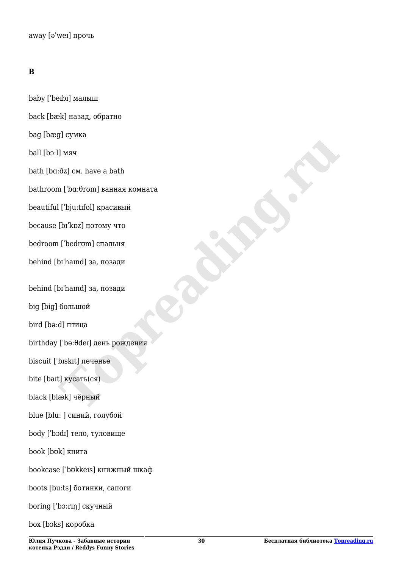# **В**

baby [ˈbeɪbɪ] малыш back [bæk] назад, обратно bag [bæg] сумка ball [bɔːl] мяч bath [bɑːðz] см. have a bath bathroom [ˈbɑːθrʊm] ванная комната beautiful [ˈbjuːtɪfʊl] красивый because [bɪˈkɒz] потому что bedroom [ˈbedrʊm] спальня behind [bɪˈhaɪnd] за, позади behind [bɪˈhaɪnd] за, позади big [big] большой bird [bəːd] птица birthday [ˈbəːθdeɪ] день рождения biscuit [ˈbɪskɪt] печенье bite [baɪt] кусать(ся) black [blæk] чёрный blue [blu: ] синий, голубой body [ˈbɔdɪ] тело, туловище book [bʊk] книга bookcase [ˈbʊkkeɪs] книжный шкаф boots [buːts] ботинки, сапоги boring [ˈbɔːrɪŋ] скучный box [bɔks] коробка Thara<br>
Top (**Professor**)<br>
Thara<br>
Top (**Professor**)<br>
Divisional Bandara Komhara<br>
Division Islaman Komhara<br>
Division Islaman<br>
Division Islaman<br>
Top-Rund<br>
of The Hotel I день рождения<br>
Division<br>
Division<br>
Division<br>
Division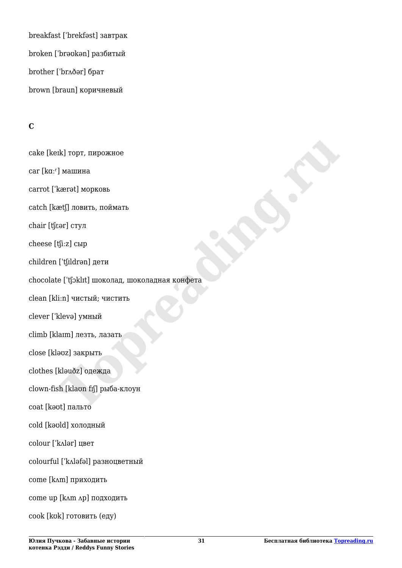breakfast [ˈbrekfəst] завтрак broken [ˈbrəʊkən] разбитый brother [ˈbrʌðər] брат brown [braun] коричневый

# **С**

cake [keɪk] торт, пирожное car [kɑːr] машина carrot [ˈkærət] морковь catch [kætʃ] ловить, поймать chair [tʃɛər] стул cheese [tʃiːz] сыр children [ˈtʃɪldrən] дети chocolate [ˈtʃɔklɪt] шоколад, шоколадная конфета clean [kliːn] чистый; чистить clever [ˈklevə] умный climb [klaɪm] лезть, лазать close [kləʊz] закрыть clothes [kləuðz] одежда clown-fish [klaʊn fɪʃ] рыба-клоун coat [kəʊt] пальто cold [kəʊld] холодный colour [ˈkʌlər] цвет colourful [ˈkʌləfəl] разноцветный come [kʌm] приходить come up [kʌm ʌp] подходить cook [kʊk] готовить (еду) rk] торт, пирожное<br>| машина<br>| машина<br>| машина<br>| повить, поймать<br>| rg| ловить, поймать<br>| rg| тул<br>| rg| rg|<br>| rg| rg|<br>| rg| rg|<br>| rg| чистый, чистить<br>| cleve] умный<br>| alm| лезть, лазать<br>| cleve] умный<br>| alm| лезть, лазать<br>|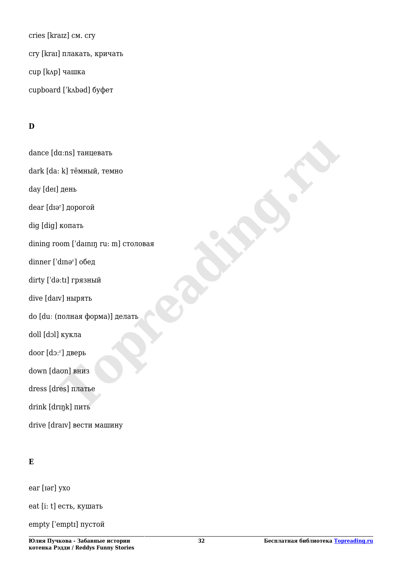cries [kraɪz] см. cry cry [kraɪ] плакать, кричать cup [kʌp] чашка cupboard [ˈkʌbəd] буфет

# **D**

dance [dɑːns] танцевать dark [da: k] тёмный, темно day [deɪ] день dear [dɪər] дорогой dig [dig] копать dining room ['daɪnɪn ru: m] столовая dinner ['dɪnə<sup>r</sup>] обед dirty [ˈdəːtɪ] грязный dive [daɪv] нырять do [duː (полная форма)] делать doll [dɔl] кукла door [dɔːʳ] дверь down [daʊn] вниз dress [dres] платье drink [drɪŋk] пить drive [draɪv] вести машину **The Second Second Second Second Second Second Second Second Second Second Second Second Second Second Second Second Second Second Second Second Second Second Second Second Second Second Second Second Second Second Second** 

# **E**

ear [ɪər] ухо

eat [i: t] есть, кушать

empty [ˈemptɪ] пустой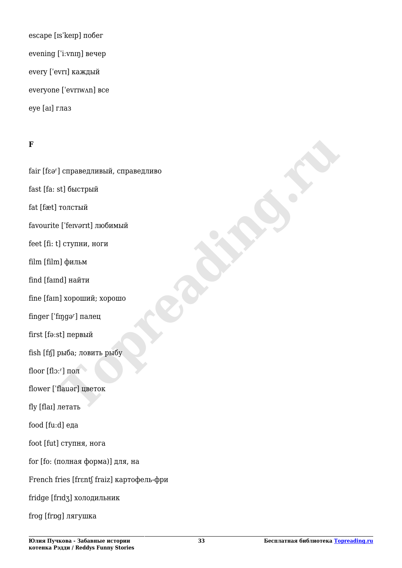escape [ɪsˈkeɪp] побег evening [ˈiːvnɪŋ] вечер every [ˈevrɪ] каждый everyone [ˈevrɪwʌn] все eye [aɪ] глаз

#### **F**

fair [fɛər] справедливый, справедливо fast [fa: st] быстрый fat [fæt] толстый favourite [ˈfeɪv*ə*rɪt] любимый feet [fi: t] ступни, ноги film [film] фильм find [famd] найти fine [faɪn] хороший; хорошо finger [ˈfɪŋgəʳ] палец first [fəːst] первый fish [fɪʃ] рыба; ловить рыбу floor [flɔːʳ] пол flower [ˈflauər] цветок fly [flaɪ] летать food [fuːd] еда foot [fut] ступня, нога for [fo: (полная форма)] для, на French fries [frɛntʃ fraiz] картофель-фри fridge [frɪdʒ] холодильник frog [frɒg] лягушка | Справедливый, справедливо<br>| St| быстрый<br>| Толстый<br>| Генулги|| любимый<br>| Генулги|| любимый<br>| Генулги|| любимый<br>| Генулги|| найти<br>| пророший; хорошо<br>| ngor || палец<br>| st|| первый<br>| suboka; ловить рыбу<br>| runo|| manar|| щее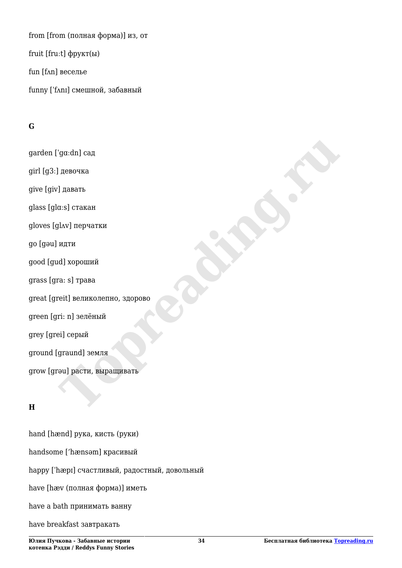from [from (полная форма)] из, от fruit [fruːt] фрукт(ы) fun [fʌn] веселье funny [ˈfʌnɪ] смешной, забавный

# **G**

garden [ˈgɑːdn] сад girl [g3ː] девочка give [giv] давать glass [glɑːs] стакан gloves [glʌv] перчатки go [gəu] идти good [gud] хороший grass [gra: s] трава great [greit] великолепно, здорово green [gri: n] зелёный grey [grei] серый ground [graund] земля grow [grəu] расти, выращивать **The Solution Control**<br>
The Marian Cash Crackan<br>
HAV| перчатки<br>
MAV| перчатки<br>
MAV| перчатки<br>
MAV| перчатки<br>
MAV| перчатки<br>
MAV| перчатки<br>
MAV| перчатки<br>
MAV| перчатки<br>
MAV| редистрация<br>
Sel| Серый<br>
graund| земля<br>
graund|

# **H**

hand [hænd] рука, кисть (руки) handsome ['hænsəm] красивый happy [ˈhæpɪ] счастливый, радостный, довольный have [hæv (полная форма)] иметь have a bath принимать ванну have breakfast завтракать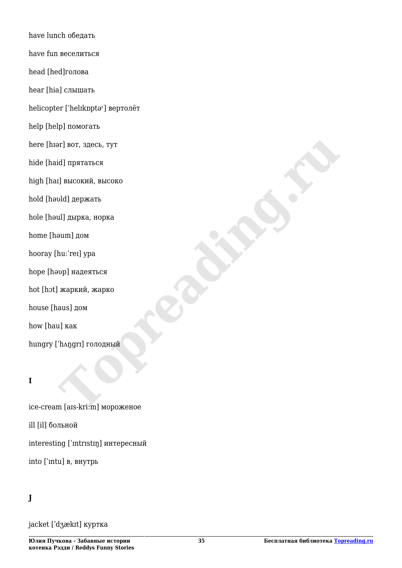have lunch обедать have fun веселиться head [hed]голова hear [hia] слышать helicopter ['helɪkɒptə<sup>r</sup>] вертолёт help [help] помогать here [hɪər] вот, здесь, тут hide [haid] прятаться high [haɪ] высокий, высоко hold [həʋld] держать hole [həul] дырка, норка home [həum] дом hooray [huːˈreɪ] ypa hope [həʋp] надеяться hot [hɔt] жаркий, жарко house [haus] дом how [hau] как hungry [ˈhʌŋgrɪ] голодный **Example 18 And The Control of the Control of the Control**<br> **Top Records of the Control of the Control**<br> **Top Records of the Control of Top Records**<br> **Top Records and The Control of Top Records and The Control of Top Recor** 

# **I**

ice-cream [aɪs-kriːm] мороженое ill [il] больной interesting [ˈɪntrɪstɪŋ] интересный into [ˈɪntu] в, внутрь

# **J**

jacket [ˈdʒækɪt] куртка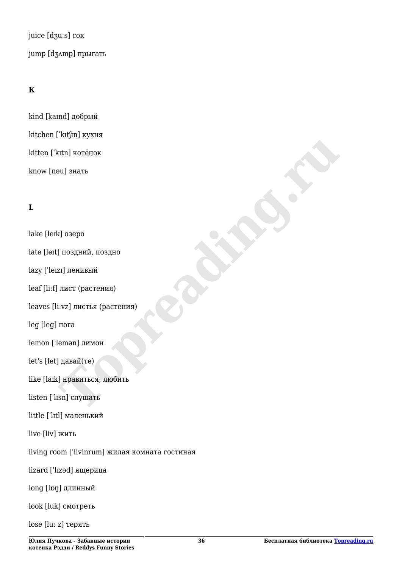juice [dʒuːs] сок jump [dʒʌmp] прыгать

# **К**

kind [kaɪnd] добрый kitchen [ˈkɪtʃɪn] кухня kitten [ˈkɪtn] котёнок know [nəu] знать

# **L**

lake [leɪk] озеро late [leɪt] поздний, поздно lazy [ˈleɪzɪ] ленивый leaf [liːf] лист (растения) leaves [liːvz] листья (растения) leg [leg] нога lemon [ˈlemən] лимон let's [let] давай(те) like [laɪk] нравиться, любить listen [ˈlɪsn] слушать little [ˈlɪtl] маленький live [liv] жить living room ['livinrum] жилая комната гостиная lizard [ˈlɪzəd] ящерица long [lɒŋ] длинный look [luk] смотреть lose [lu: z] терять **The Marine Street And Served And Served And Served And Served And Served And Served And Served And Served And Served And Served And Served And Served And Served And Served And Served And Served And Served And Served And S**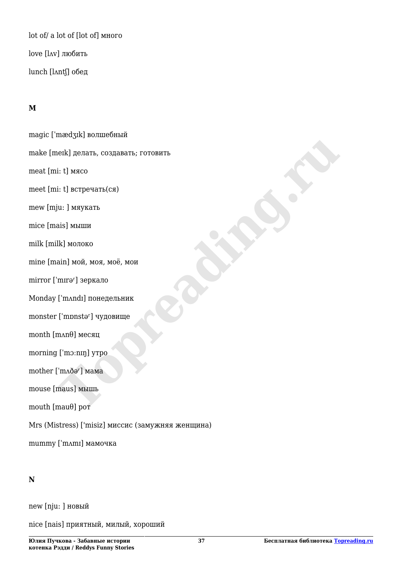lot of/ a lot of [lot of] много love [lʌv] любить lunch [lʌntʃ] обед

### **M**

magic [ˈmædʒɪk] волшебный make [meɪk] делать, создавать; готовить meat [mi: t] мясо meet [mi: t] встречать(ся) mew [mju: ] мяукать mice [mais] мыши milk [milk] молоко mine [main] мой, моя, моё, мои mirror ['mirə<sup>r</sup>] зеркало Monday [ˈmʌndɪ] понедельник monster [ˈmɒnstəʳ] чудовище month  $[m\Lambda n\theta]$  месяц morning [ˈmɔːnɪŋ] утро mother [ˈmʌðər] мама mouse [maus] мышь mouth [mauθ] рот Mrs (Mistress) ['misiz] миссис (замужняя женщина) mummy [ˈmʌmɪ] мамочка Pack Let Berperans, Costagaarts, Forogans<br> **Top Costagaarts**, Forogans<br> **Top Costagaarts**<br> **Top Costagaarts**<br> **Top Costagaarts**<br> **Top Costagaarts**<br> **Top Costagaarts**<br> **Top Costagaarts**<br> **Top Costagaarts**<br> **Top Costagaarts** 

#### **N**

new [nju: ] новый

nice [nais] приятный, милый, хороший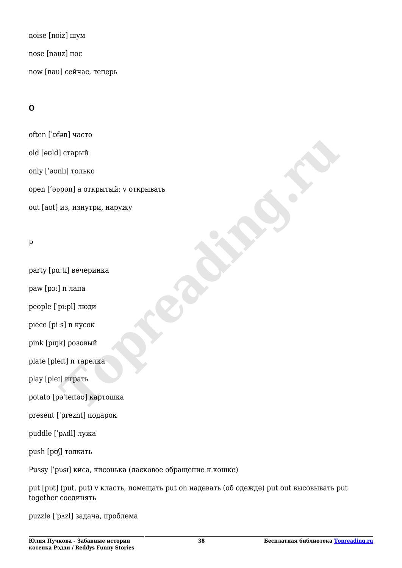noise [noiz] шум nose [nauz] нос now [nau] сейчас, теперь

# **О**

often [ˈɒf*ə*n] часто old [əʊld] старый only [ˈəʊnlɪ] только open ['əʋpən] а открытый; v открывать out [aʊt] из, изнутри, наружу Henry Control Control Control Control Control Control Control Control Control Control Control Control Control Control Control Control Control Control Control Control Control Control Control Control Control Control Control

# P

party [pɑːtɪ] вечеринка

paw [pɔː] n лапа

people [ˈpiːpl] люди

piece [piːs] n кусок

pink [pɪŋk] розовый

plate [pleɪt] n тарелка

play [pleɪ] играть

potato [pəˈteɪtəʊ] картошка

present [ˈpreznt] подарок

puddle [ˈpʌdl] лужа

push [pʊʃ] толкать

Pussy ['pʋsɪ] киса, кисонька (ласковое обращение к кошке)

put [pʋt] (put, put) v класть, помещать put on надевать (об одежде) put out высовывать put together соединять

puzzle [ˈpʌzl] задача, проблема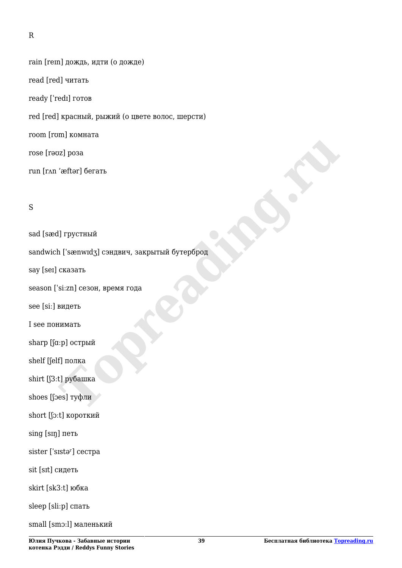rain [reɪn] дождь, идти (о дожде) read [red] читать ready [ˈredɪ] готов red [red] красный, рыжий (о цвете волос, шерсти) room [rʊm] комната rose [rəʊz] роза run [rʌn 'æftər] бегать

#### S

sad [sæd] грустный sandwich ['sænwɪdʒ] сэндвич, закрытый бутерброд say [seɪ] сказать season [ˈsiːzn] сезон, время года see [siː] видеть I see понимать sharp [fa:p] острый shelf [ʃelf] полка shirt [ʃ3ːt] рубашка shoes [ʃɔes] туфли short [ʃɔːt] короткий sing [sɪŋ] петь sister ['sɪstə<sup>r</sup>] сестра sit [sɪt] сидеть skirt [sk3ːt] юбка sleep [sliːp] спать small [smɔːl] маленький raftar] бетать<br>
Topper<br>
Topper<br>
Topper<br>
Topper<br>
Topper<br>
Topper<br>
Topper<br>
Topper<br>
Topper<br>
The Topper<br>
The Topper<br>
The Topper<br>
The Topper<br>
The Topper<br>
The Topper<br>
The Topper<br>
The Topper<br>
The Topper<br>
The Topper<br>
The Topper<br>
T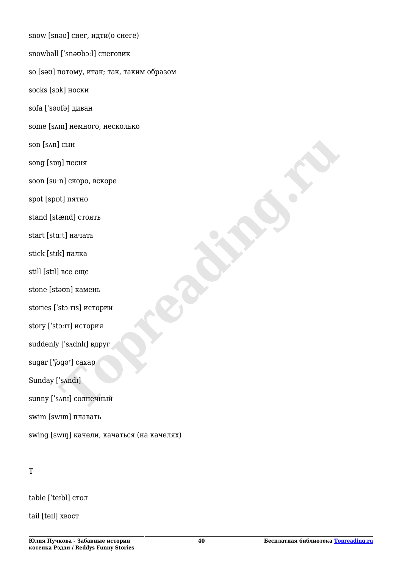snow [snəʊ] снег, идти(о снеге) snowball [ˈsnəʊbɔːl] снеговик so [səʊ] потому, итак; так, таким образом socks [sɔk] носки sofa [ˈsəʊfə] диван some [sʌm] немного, несколько son [sʌn] сын song [sɒŋ] песня soon [suːn] скоро, вскоре spot [spɒt] пятно stand [stænd] стоять start [stɑːt] начать stick [stɪk] палка still [stɪl] все еще stone [stəʊn] камень stories [ˈstɔːrɪs] истории story [ˈstɔːrɪ] история suddenly ['sʌdnlɪ] вдруг sugar [ˈʃʊɡər] caxap Sunday [ˈsʌndɪ] sunny ['sʌnɪ] солнечный swim [swɪm] плавать swing [swɪŋ] качели, качаться (на качелях) **The Company of School School (Section)**<br> **Top-Property Company of School School School School School School School School School School School School School School School School School School School School School School S** 

table [ˈteɪbl] стол

tail [teɪl] хвост

T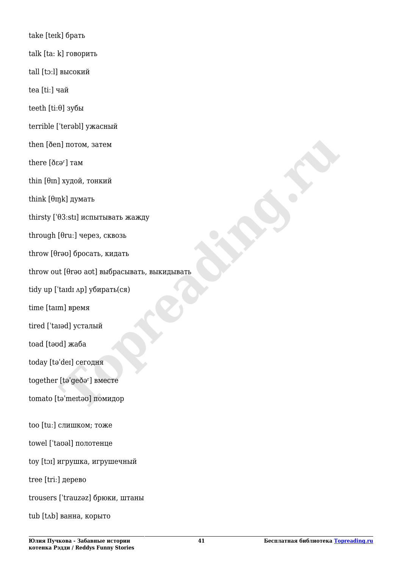take [teɪk] брать talk [ta: k] говорить tall [tɔːl] высокий tea [tiː] чай teeth [tiːθ] зубы terrible [ˈterəbl] ужасный then [ðen] потом, затем there  $[\delta \varepsilon \Theta^r]$  там thin  $[θm]$  худой, тонкий think  $[*θ in k*]$  думать thirsty [ˈθ3ːstɪ] испытывать жажду through [θruː] через, сквозь throw [θrəʊ] бросать, кидать throw out [θrəʊ aʊt] выбрасывать, выкидывать tidy up [ˈtaɪdɪ ʌp] убирать(ся) time [taɪm] время tired [ˈtaɪəd] усталый toad [təʊd] жаба today [təˈdeɪ] сегодня together [təˈgeðər] вместе tomato [təˈmeɪtəʊ] помидор too [tuː] слишком; тоже towel [ˈtaʊəl] полотенце toy [tɔɪ] игрушка, игрушечный tree [triː] дерево trousers [ˈtrauzəz] брюки, штаны ral I отом, затем<br>Tayдой, тонкий<br>B3.stil испытныать жажду<br>03.stil испытныать жажду<br>Teru: I через, сквозь<br>reo I бросать, кидать<br>t (foro aot) выбрасывать, выкидывать<br>That and y yбирать(ся)<br>and y yбирать(ся)<br>del ceroдня<br>del

tub [tʌb] ванна, корыто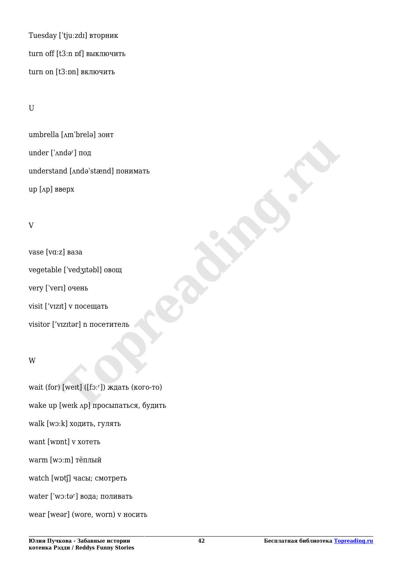Tuesday [ˈtjuːzdɪ] вторник turn off [t3ːn ɒf] выключить turn on [t3ːɒn] включить

#### U

umbrella [ʌmˈbrelə] зонт under ['Andə<sup>r</sup>] под understand [ʌndəˈstænd] понимать up [ʌp] вверх

#### V

vase [vɑːz] ваза vegetable [ˈvedʒɪtəbl] овощ very [ˈverɪ] очень visit ['vɪzɪt] v посещать visitor ['vɪzɪtər] n посетитель Exploration of the text of the text of the text of the text of the text of the text of the text of the text of the text of the text of the text of the text of the text of the text of the text of the text of the text of the

#### W

wait (for) [weɪt] ([fɔːr]) ждать (кого-то) wake up [weɪk ʌp] просыпаться, будить walk [wɔːk] ходить, гулять want [wɒnt] v хотеть warm [wɔːm] тёплый watch [wɒtʃ] часы; смотреть water  $['w$  $:$ t $\theta$ <sup>r</sup> $]$  вода; поливать wear [weər] (wore, worn) v носить